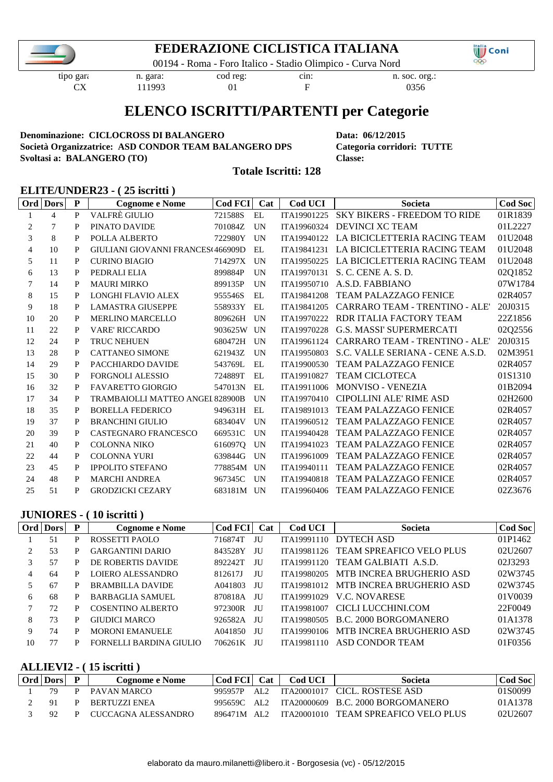

# **FEDERAZIONE CICLISTICA ITALIANA**

00194 - Roma - Foro Italico - Stadio Olimpico - Curva Nord

tipo gara n. gara: cod reg: cin: n. soc. org.: CX 111993 01 F 0356

CX 111993 01 F 0356

**Oni** 

# **ELENCO ISCRITTI/PARTENTI per Categorie**

#### **Denominazione: CICLOCROSS DI BALANGERO Data: 06/12/2015 Società Organizzatrice: ASD CONDOR TEAM BALANGERO DPS Categoria corridori: TUTTE Svoltasi a: BALANGERO (TO) Classe:**

**Totale Iscritti: 128**

#### **ELITE/UNDER23 - ( 25 iscritti )**

|    | Ord Dors | P | <b>Cognome e Nome</b>                   | Cod FCI    | Cat | Cod UCI     | Societa                               | Cod Soc |
|----|----------|---|-----------------------------------------|------------|-----|-------------|---------------------------------------|---------|
|    | 4        | P | VALFRÈ GIULIO                           | 721588S    | EL  | ITA19901225 | SKY BIKERS - FREEDOM TO RIDE          | 01R1839 |
| 2  |          | P | PINATO DAVIDE                           | 701084Z    | UN  | ITA19960324 | DEVINCI XC TEAM                       | 01L2227 |
| 3  | 8        | P | POLLA ALBERTO                           | 722980Y    | UN  | ITA19940122 | LA BICICLETTERIA RACING TEAM          | 01U2048 |
| 4  | 10       | P | GIULIANI GIOVANNI FRANCES (466909D      |            | EL  | ITA19841231 | LA BICICLETTERIA RACING TEAM          | 01U2048 |
| 5  | 11       | P | <b>CURINO BIAGIO</b>                    | 714297X    | UN  | ITA19950225 | LA BICICLETTERIA RACING TEAM          | 01U2048 |
| 6  | 13       | P | PEDRALI ELIA                            | 899884P    | UN  | ITA19970131 | S. C. CENE A. S. D.                   | 02Q1852 |
| 7  | 14       | P | <b>MAURI MIRKO</b>                      | 899135P    | UN  | ITA19950710 | A.S.D. FABBIANO                       | 07W1784 |
| 8  | 15       | P | <b>LONGHI FLAVIO ALEX</b>               | 955546S    | EL  | ITA19841208 | <b>TEAM PALAZZAGO FENICE</b>          | 02R4057 |
| 9  | 18       | P | <b>LAMASTRA GIUSEPPE</b>                | 558933Y    | EL  | ITA19841205 | <b>CARRARO TEAM - TRENTINO - ALE'</b> | 20J0315 |
| 10 | 20       | P | <b>MERLINO MARCELLO</b>                 | 809626H    | UN  | ITA19970222 | <b>RDR ITALIA FACTORY TEAM</b>        | 22Z1856 |
| 11 | 22       | P | <b>VARE' RICCARDO</b>                   | 903625W    | UN  | ITA19970228 | <b>G.S. MASSI' SUPERMERCATI</b>       | 02Q2556 |
| 12 | 24       | P | <b>TRUC NEHUEN</b>                      | 680472H    | UN  | ITA19961124 | CARRARO TEAM - TRENTINO - ALE'        | 20J0315 |
| 13 | 28       | P | <b>CATTANEO SIMONE</b>                  | 621943Z    | UN  | ITA19950803 | S.C. VALLE SERIANA - CENE A.S.D.      | 02M3951 |
| 14 | 29       | P | PACCHIARDO DAVIDE                       | 543769L    | EL  | ITA19900530 | <b>TEAM PALAZZAGO FENICE</b>          | 02R4057 |
| 15 | 30       | P | <b>FORGNOLI ALESSIO</b>                 | 724889T    | EL  | ITA19910827 | <b>TEAM CICLOTECA</b>                 | 01S1310 |
| 16 | 32       | P | <b>FAVARETTO GIORGIO</b>                | 547013N    | EL  | ITA19911006 | <b>MONVISO - VENEZIA</b>              | 01B2094 |
| 17 | 34       | P | <b>TRAMBAIOLLI MATTEO ANGEI 828900B</b> |            | UN  | ITA19970410 | <b>CIPOLLINI ALE' RIME ASD</b>        | 02H2600 |
| 18 | 35       | P | <b>BORELLA FEDERICO</b>                 | 949631H    | EL  | ITA19891013 | <b>TEAM PALAZZAGO FENICE</b>          | 02R4057 |
| 19 | 37       | P | <b>BRANCHINI GIULIO</b>                 | 683404V    | UN  | ITA19960512 | <b>TEAM PALAZZAGO FENICE</b>          | 02R4057 |
| 20 | 39       | P | <b>CASTEGNARO FRANCESCO</b>             | 669531C    | UN  | ITA19940428 | <b>TEAM PALAZZAGO FENICE</b>          | 02R4057 |
| 21 | 40       | P | <b>COLONNA NIKO</b>                     | 616097O    | UN  | ITA19941023 | <b>TEAM PALAZZAGO FENICE</b>          | 02R4057 |
| 22 | 44       | P | <b>COLONNA YURI</b>                     | 639844G    | UN  | ITA19961009 | <b>TEAM PALAZZAGO FENICE</b>          | 02R4057 |
| 23 | 45       | P | <b>IPPOLITO STEFANO</b>                 | 778854M    | UN  | ITA19940111 | <b>TEAM PALAZZAGO FENICE</b>          | 02R4057 |
| 24 | 48       | P | <b>MARCHI ANDREA</b>                    | 967345C    | UN  | ITA19940818 | <b>TEAM PALAZZAGO FENICE</b>          | 02R4057 |
| 25 | 51       | P | <b>GRODZICKI CEZARY</b>                 | 683181M UN |     | ITA19960406 | <b>TEAM PALAZZAGO FENICE</b>          | 02Z3676 |

#### **JUNIORES - ( 10 iscritti )**

| Ord | <b>Dors</b> | P | Cognome e Nome           | Cod FCI | Cat | <b>Cod UCI</b> | Societa                              | <b>Cod Soc</b> |
|-----|-------------|---|--------------------------|---------|-----|----------------|--------------------------------------|----------------|
|     | 51          | P | ROSSETTI PAOLO           | 716874T | JU  | ITA19991110    | DYTECH ASD                           | 01P1462        |
|     | 53          | P | <b>GARGANTINI DARIO</b>  | 843528Y | ЛU  | ITA19981126    | <b>TEAM SPREAFICO VELO PLUS</b>      | 02U2607        |
|     | 57          | P | DE ROBERTIS DAVIDE       | 892242T | JU. | ITA19991120    | TEAM GALBIATI A.S.D.                 | 02J3293        |
| 4   | 64          | P | LOIERO ALESSANDRO        | 812617J | ЛU  | ITA19980205    | MTB INCREA BRUGHERIO ASD             | 02W3745        |
|     | 67          | P | <b>BRAMBILLA DAVIDE</b>  | A041803 | JU. |                | ITA19981012 MTB INCREA BRUGHERIO ASD | 02W3745        |
| 6   | 68          | P | <b>BARBAGLIA SAMUEL</b>  | 870818A | ЛU  | ITA19991029    | <b>V.C. NOVARESE</b>                 | 01V0039        |
|     | 72          | P | <b>COSENTINO ALBERTO</b> | 972300R | ЛU  | ITA19981007    | CICLI LUCCHINI.COM                   | 22F0049        |
| 8   | 73          | P | <b>GIUDICI MARCO</b>     | 926582A | JU. | ITA19980505    | B.C. 2000 BORGOMANERO                | 01A1378        |
| 9   | 74          | P | <b>MORONI EMANUELE</b>   | A041850 | -JU | ITA19990106    | MTB INCREA BRUGHERIO ASD             | 02W3745        |
| 10  |             |   | FORNELLI BARDINA GIULIO  | 706261K | ЛU  | ITA19981110    | ASD CONDOR TEAM                      | 01F0356        |

#### **ALLIEVI2 - ( 15 iscritti )**

| Ord   Dors |   | <b>Cognome e Nome</b> | Cod FCI     | <b>Cat</b> | Cod UCI | Societa                                       | Cod Soc |
|------------|---|-----------------------|-------------|------------|---------|-----------------------------------------------|---------|
| 79         |   | PAVAN MARCO           | 995957P     | AL $2$     |         | TTA20001017 CICL ROSTESE ASD                  | 01S0099 |
| -91        | D | <b>BERTUZZI ENEA</b>  |             |            |         | 995659C AL2 ITA20000609 B.C. 2000 BORGOMANERO | 01A1378 |
| Q2         |   | CUCCAGNA ALESSANDRO   | 896471M AL2 |            |         | TTA20001010 TEAM SPREAFICO VELO PLUS          | 02U2607 |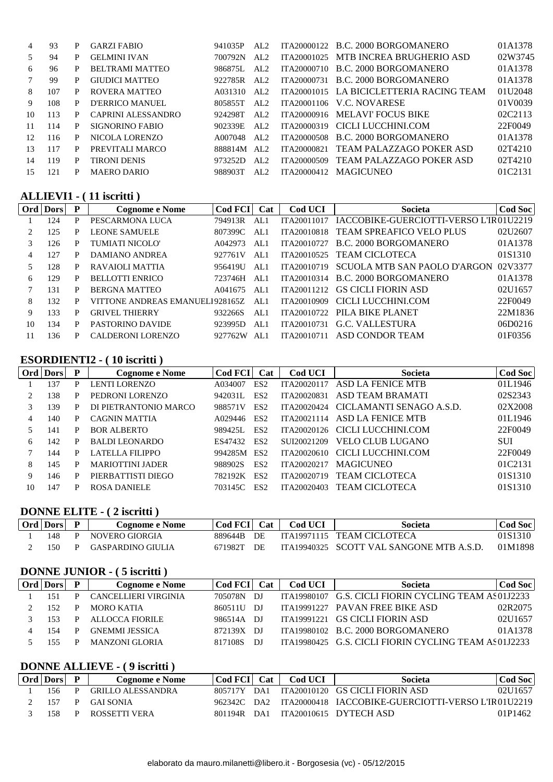|    | 93  | P | <b>GARZI FABIO</b>     | 941035P | AI.2             |             | ITA20000122 B.C. 2000 BORGOMANERO | 01A1378 |
|----|-----|---|------------------------|---------|------------------|-------------|-----------------------------------|---------|
|    | 94  | P | <b>GELMINI IVAN</b>    | 700792N | AI.2             | ITA20001025 | MTB INCREA BRUGHERIO ASD          | 02W3745 |
| 6  | 96  | P | <b>BELTRAMI MATTEO</b> | 986875L | AI.2             | ITA20000710 | B.C. 2000 BORGOMANERO             | 01A1378 |
|    | 99  | P | <b>GIUDICI MATTEO</b>  | 922785R | AI.2             | ITA20000731 | B.C. 2000 BORGOMANERO             | 01A1378 |
| 8  | 107 | P | ROVERA MATTEO          | A031310 | AI.2             | ITA20001015 | LA BICICLETTERIA RACING TEAM      | 01U2048 |
| 9  | 108 | P | D'ERRICO MANUEL        | 805855T | AI.2             | ITA20001106 | V.C. NOVARESE                     | 01V0039 |
| 10 | 113 | P | CAPRINI ALESSANDRO     | 924298T | AI.2             | ITA20000916 | <b>MELAVI' FOCUS BIKE</b>         | 02C2113 |
| 11 | 114 | P | SIGNORINO FABIO        | 902339E | AL $\mathcal{L}$ | ITA20000319 | CICLI LUCCHINLCOM                 | 22F0049 |
| 12 | 116 | P | NICOLA LORENZO         | A007048 | AI.2             | ITA20000508 | B.C. 2000 BORGOMANERO             | 01A1378 |
| 13 | 117 | P | PREVITALI MARCO        | 888814M | AI.2             | ITA20000821 | TEAM PALAZZAGO POKER ASD          | 02T4210 |
| 14 | 119 | P | <b>TIRONI DENIS</b>    | 973252D | AI.2             | ITA20000509 | TEAM PALAZZAGO POKER ASD          | 02T4210 |
| 15 | 121 | P | <b>MAERO DARIO</b>     | 988903T | AL <sub>2</sub>  | ITA20000412 | <b>MAGICUNEO</b>                  | 01C2131 |
|    |     |   |                        |         |                  |             |                                   |         |

### ALLIEVI1 - (11 iscritti)

|    | Ord Dors | P | Cognome e Nome                  | Cod FCI | Cat  | <b>Cod UCI</b> | Societa                                | <b>Cod Soc</b> |
|----|----------|---|---------------------------------|---------|------|----------------|----------------------------------------|----------------|
|    | 24       | P | PESCARMONA LUCA                 | 794913R | AL 1 | ITA20011017    | IACCOBIKE-GUERCIOTTI-VERSO L'IR01U2219 |                |
|    | 125      | P | LEONE SAMUELE                   | 807399C | AL 1 | ITA20010818    | <b>TEAM SPREAFICO VELO PLUS</b>        | 02U2607        |
| 3  | 126      | P | TUMIATI NICOLO'                 | A042973 | AL 1 | ITA20010727    | B.C. 2000 BORGOMANERO                  | 01A1378        |
| 4  | 127      | P | DAMIANO ANDREA                  | 927761V | AL 1 | ITA20010525    | <b>TEAM CICLOTECA</b>                  | 01S1310        |
|    | 128      | P | RAVAIOLI MATTIA                 | 956419U | AL 1 | ITA20010719    | SCUOLA MTB SAN PAOLO D'ARGON           | 02V3377        |
| 6  | 29       | P | <b>BELLOTTI ENRICO</b>          | 723746H | AL 1 | ITA20010314    | B.C. 2000 BORGOMANERO                  | 01A1378        |
|    | 131      | P | <b>BERGNA MATTEO</b>            | A041675 | AL 1 | ITA20011212    | <b>GS CICLI FIORIN ASD</b>             | 02U1657        |
| 8  | 132      | P | VITTONE ANDREAS EMANUEL1928165Z |         | AL1  | ITA20010909    | CICLI LUCCHINLCOM                      | 22F0049        |
| 9  | 133      | P | <b>GRIVEL THIERRY</b>           | 932266S | AL 1 | ITA20010722    | PILA BIKE PLANET                       | 22M1836        |
| 10 | 34       | P | <b>PASTORINO DAVIDE</b>         | 923995D | AL 1 | ITA20010731    | G.C. VALLESTURA                        | 06D0216        |
|    | 36       | P | CALDERONI LORENZO               | 927762W | AL 1 | ITA20010711    | <b>ASD CONDOR TEAM</b>                 | 01F0356        |

# **ESORDIENTI2 - (10 iscritti)**

| Ord | <b>Dors</b> | P | Cognome e Nome          | Cod FCI  | Cat             | <b>Cod UCI</b> | <b>Societa</b>           | Cod Soc    |
|-----|-------------|---|-------------------------|----------|-----------------|----------------|--------------------------|------------|
|     | .37         | P | LENTI LORENZO           | A034007  | ES <sub>2</sub> | ITA20020117    | ASD LA FENICE MTB        | 01L1946    |
|     | 138         | P | PEDRONI LORENZO         | 942031L  | ES <sub>2</sub> | ITA20020831    | <b>ASD TEAM BRAMATI</b>  | 02S2343    |
| 3   | 139         | P | DI PIETRANTONIO MARCO   | 988571V  | ES <sub>2</sub> | ITA20020424    | CICLAMANTI SENAGO A.S.D. | 02X2008    |
| 4   | 140         | P | <b>CAGNIN MATTIA</b>    | A029446  | ES <sub>2</sub> | ITA20021114    | <b>ASD LA FENICE MTB</b> | 01L1946    |
|     | 141         | P | <b>BOR ALBERTO</b>      | 9894251. | ES <sub>2</sub> | ITA20020126    | CICLI LUCCHINLCOM        | 22F0049    |
| 6   | 142         | P | <b>BALDI LEONARDO</b>   | ES47432  | ES <sub>2</sub> | SUI20021209    | <b>VELO CLUB LUGANO</b>  | <b>SUI</b> |
|     | 144         | P | LATELLA FILIPPO         | 994285M  | ES <sub>2</sub> | ITA20020610    | CICLI LUCCHINLCOM        | 22F0049    |
| 8   | 145         | P | <b>MARIOTTINI JADER</b> | 988902S  | ES <sub>2</sub> | ITA20020217    | <b>MAGICUNEO</b>         | 01C2131    |
| 9   | 146         | P | PIERBATTISTI DIEGO      | 782192K  | ES <sub>2</sub> | ITA20020719    | <b>TEAM CICLOTECA</b>    | 01S1310    |
| 10  | 147         | P | <b>ROSA DANIELE</b>     | 703145C  | ES <sub>2</sub> | ITA20020403    | <b>TEAM CICLOTECA</b>    | 01S1310    |

### **DONNE ELITE - (2 iscritti)**

| Ord Dors | <b>Cognome e Nome</b> | Cod FCI Cat |      | <b>Cod UCI</b> | Societa                                  | Cod Soc |
|----------|-----------------------|-------------|------|----------------|------------------------------------------|---------|
| 148      | NOVERO GIORGIA        | 889644B     | - DE |                | ITA19971115 TEAM CICLOTECA               | 01S1310 |
| 150      | GASPARDINO GIULIA     | 671982T     | DE.  |                | ITA19940325 SCOTT VAL SANGONE MTB A.S.D. | 01M1898 |

# **DONNE JUNIOR** - (5 iscritti)

| Ord Dors | D | Cognome e Nome        | Cod FCI | Cat  | <b>Cod UCI</b> | Societa                                  | Cod Soc |
|----------|---|-----------------------|---------|------|----------------|------------------------------------------|---------|
| -51      |   | CANCELLIERI VIRGINIA  | 705078N | D.I  | ITA19980107    | G.S. CICLI FIORIN CYCLING TEAM AS01J2233 |         |
| 152      |   | MORO KATIA            | 860511U | - DJ |                | ITA19991227 PAVAN FREE BIKE ASD          | 02R2075 |
| 153      |   | ALLOCCA FIORILE       | 986514A | DJ.  | ITA19991221    | - GS CICLI FIORIN ASD                    | 02U1657 |
| -54      |   | <b>GNEMMI JESSICA</b> | 872139X | - DJ |                | ITA19980102 B.C. 2000 BORGOMANERO        | 01A1378 |
|          |   | <b>MANZONI GLORIA</b> | 817108S | D.I  | ITA19980425    | G.S. CICLI FIORIN CYCLING TEAM AS0112233 |         |

### **DONNE ALLIEVE - (9 iscritti)**

| Ord   Dors |              | Cognome e Nome           | Cod FCI Cat |     | Cod UCI | Societa                                                        | Cod Soc |
|------------|--------------|--------------------------|-------------|-----|---------|----------------------------------------------------------------|---------|
| 156.       |              | <b>GRILLO ALESSANDRA</b> | 805717Y DA1 |     |         | ITA20010120 GS CICLI FIORIN ASD                                | 02U1657 |
| - 157      | $\mathbf{p}$ | GAI SONIA                |             |     |         | 962342C DA2 ITA20000418 IACCOBIKE-GUERCIOTTI-VERSO L'IR01U2219 |         |
| 158        |              | ROSSETTI VERA            | 801194R     | DA1 |         | ITA20010615 DYTECH ASD                                         | 01P1462 |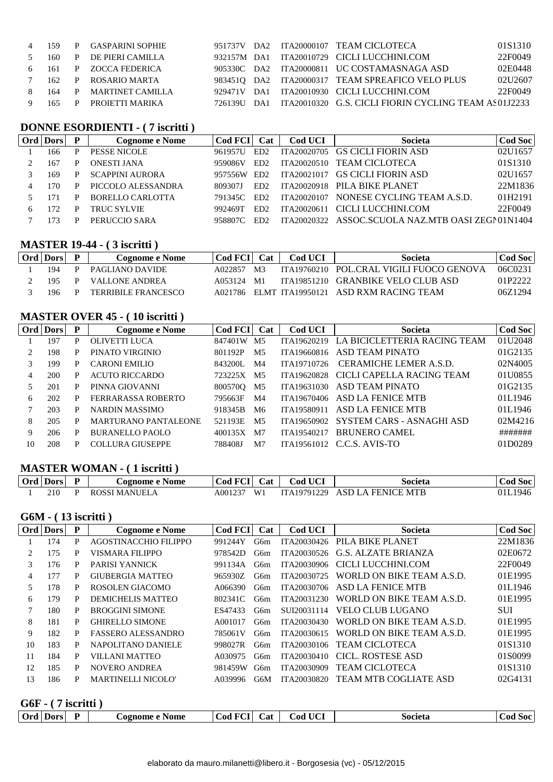|   |  | 4 159 P GASPARINI SOPHIE |  | 951737V DA2 ITA20000107 TEAM CICLOTECA                           | 01S1310 |
|---|--|--------------------------|--|------------------------------------------------------------------|---------|
|   |  | 5 160 P DE PIERI CAMILLA |  | 932157M DA1 ITA20010729 CICLI LUCCHINI.COM                       | 22F0049 |
|   |  | 6 161 P ZOCCA FEDERICA   |  | 905330C DA2 ITA20000811 UC COSTAMASNAGA ASD                      | 02E0448 |
|   |  | 7 162 P ROSARIO MARTA    |  | 983451Q DA2 ITA20000317 TEAM SPREAFICO VELO PLUS                 | 02U2607 |
| 8 |  | 164 P MARTINET CAMILLA   |  | 929471V DA1 ITA20010930 CICLI LUCCHINI.COM                       | 22F0049 |
| 9 |  | 165 P PROJETTI MARIKA    |  | 726139U DA1 ITA20010320 G.S. CICLI FIORIN CYCLING TEAM AS01J2233 |         |

#### **DONNE ESORDIENTI - ( 7 iscritti )**

| Ord | <b>Dors</b> | P | Cognome e Nome         | <b>Cod FCI</b> | Cat             | <b>Cod UCI</b> | Societa                               | Cod Soc |
|-----|-------------|---|------------------------|----------------|-----------------|----------------|---------------------------------------|---------|
|     | -66         | P | PESSE NICOLE           | 961957U        | ED <sub>2</sub> | ITA20020705    | <b>GS CICLI FIORIN ASD</b>            | 02U1657 |
|     | 167         |   | <b>ONESTI JANA</b>     | 959086V        | ED <sub>2</sub> | ITA20020510    | <b>TEAM CICLOTECA</b>                 | 01S1310 |
|     | 169         | P | <b>SCAPPINI AURORA</b> | 957556W        | ED <sub>2</sub> | ITA20021017    | <b>GS CICLI FIORIN ASD</b>            | 02U1657 |
| 4   | 70          |   | PICCOLO ALESSANDRA     | 809307J        | ED <sub>2</sub> | ITA20020918    | PILA BIKE PLANET                      | 22M1836 |
|     |             |   | BORELLO CARLOTTA       | 791345C        | ED <sub>2</sub> | ITA20020107    | NONESE CYCLING TEAM A.S.D.            | 01H2191 |
|     |             | P | <b>TRUC SYLVIE</b>     | 992469T        | ED <sub>2</sub> | ITA20020611    | CICLI LUCCHINLCOM                     | 22F0049 |
|     |             |   | PERUCCIO SARA          | 958807C        | ED2             | ITA20020322    | ASSOC.SCUOLA NAZ.MTB OASI ZEGN01N1404 |         |

### **MASTER 19-44 - ( 3 iscritti )**

| Ord   Dors |   | <b>Cognome e Nome</b> | Cod FCI | <b>Cat</b> | Cod UCI | Societa                                     | Cod Soc |
|------------|---|-----------------------|---------|------------|---------|---------------------------------------------|---------|
| 194        |   | PAGLIANO DAVIDE       | A022857 | M3         |         | TTA19760210 POL.CRAL VIGILI FUOCO GENOVA    | 06C0231 |
| 195        | P | VALLONE ANDREA        | A053124 | - M1       |         | $TA19851210 \text{ GRANRIKE VELO CLUB ASD}$ | 01P2222 |
| 196        |   | TERRIBILE FRANCESCO   | A021786 |            |         | ELMT ITA19950121 ASD RXM RACING TEAM        | 06Z1294 |

#### **MASTER OVER 45 - ( 10 iscritti )**

| <b>Ord</b> | <b>Dors</b> | P | <b>Cognome e Nome</b>       | Cod FCI | Cat            | Cod UCI     | Societa                      | Cod Soc |
|------------|-------------|---|-----------------------------|---------|----------------|-------------|------------------------------|---------|
|            | 197         | P | <b>OLIVETTI LUCA</b>        | 847401W | M5             | ITA19620219 | LA BICICLETTERIA RACING TEAM | 01U2048 |
|            | 198         | P | PINATO VIRGINIO             | 801192P | M5             | ITA19660816 | ASD TEAM PINATO              | 01G2135 |
| 3          | 199         | P | <b>CARONI EMILIO</b>        | 843200L | M4             | ITA19710726 | CERAMICHE LEMER A.S.D.       | 02N4005 |
| 4          | 200         | P | <b>ACUTO RICCARDO</b>       | 723225X | M5             | ITA19620828 | CICLI CAPELLA RACING TEAM    | 01U0855 |
|            | 201         | P | PINNA GIOVANNI              | 800570Q | M5             | ITA19631030 | ASD TEAM PINATO              | 01G2135 |
| 6          | 202         | P | FERRARASSA ROBERTO          | 795663F | M4             | ITA19670406 | ASD LA FENICE MTB            | 01L1946 |
|            | 203         | P | <b>NARDIN MASSIMO</b>       | 918345B | M6             | ITA19580911 | ASD LA FENICE MTB            | 01L1946 |
| 8          | 205         | P | <b>MARTURANO PANTALEONE</b> | 521193E | M <sub>5</sub> | ITA19650902 | SYSTEM CARS - ASNAGHI ASD    | 02M4216 |
| 9          | 206         | P | BURANELLO PAOLO             | 400135X | M7             | ITA19540217 | <b>BRUNERO CAMEL</b>         | ####### |
| 10         | 208         | P | <b>COLLURA GIUSEPPE</b>     | 788408J | M7             | ITA19561012 | C.C.S. AVIS-TO               | 01D0289 |

### **MASTER WOMAN - ( 1 iscritti )**

| Ord | <b>Dors</b> | D | Cognome e Nome   | $\text{cod } F^{cr}$ | Jat            | UCI<br>Co <sub>d</sub> | Societa                | ∴od<br><b>SOC</b> |
|-----|-------------|---|------------------|----------------------|----------------|------------------------|------------------------|-------------------|
|     | 210         |   | ' MANHEL<br>ROSS | A001237              | W <sub>1</sub> | 1220<br>$TT\Delta$ .   | LA FENICE MTB<br>ASD 1 | 1946              |

# **G6M - ( 13 iscritti )**

|    | Ord Dors | P | Cognome e Nome            | Cod FCI | <b>Cat</b> | <b>Cod UCI</b> | Societa                      | Cod Soc    |
|----|----------|---|---------------------------|---------|------------|----------------|------------------------------|------------|
|    | 174      | P | AGOSTINACCHIO FILIPPO     | 991244Y | G6m        | ITA20030426    | PILA BIKE PLANET             | 22M1836    |
| 2  | 175      | P | <b>VISMARA FILIPPO</b>    | 978542D | G6m        | ITA20030526    | <b>G.S. ALZATE BRIANZA</b>   | 02E0672    |
| 3  | 176      | P | <b>PARISI YANNICK</b>     | 991134A | G6m        | ITA20030906    | CICLI LUCCHINLCOM            | 22F0049    |
| 4  | 177      | P | <b>GIUBERGIA MATTEO</b>   | 965930Z | G6m        | ITA20030725    | WORLD ON BIKE TEAM A.S.D.    | 01E1995    |
| 5. | 178      | P | ROSOLEN GIACOMO           | A066390 | G6m        | ITA20030706    | ASD LA FENICE MTB            | 01L1946    |
| 6  | 179      | P | <b>DEMICHELIS MATTEO</b>  | 802341C | G6m        | ITA20031230    | WORLD ON BIKE TEAM A.S.D.    | 01E1995    |
| 7  | 180      | P | <b>BROGGINI SIMONE</b>    | ES47433 | G6m        | SUI20031114    | VELO CLUB LUGANO             | <b>SUI</b> |
| 8  | 181      | P | <b>GHIRELLO SIMONE</b>    | A001017 | G6m        | ITA20030430    | WORLD ON BIKE TEAM A.S.D.    | 01E1995    |
| 9  | 182      | P | <b>FASSERO ALESSANDRO</b> | 785061V | G6m        | ITA20030615    | WORLD ON BIKE TEAM A.S.D.    | 01E1995    |
| 10 | 183      | P | NAPOLITANO DANIELE        | 998027R | G6m        | ITA20030106    | <b>TEAM CICLOTECA</b>        | 01S1310    |
| 11 | 184      | P | <b>VILLANI MATTEO</b>     | A030975 | G6m        | ITA20030410    | CICL. ROSTESE ASD            | 01S0099    |
| 12 | 185      | P | <b>NOVERO ANDREA</b>      | 981459W | G6m        | ITA20030909    | <b>TEAM CICLOTECA</b>        | 01S1310    |
| 13 | 186      | P | <b>MARTINELLI NICOLO'</b> | A039996 | G6M        | ITA20030820    | <b>TEAM MTB COGLIATE ASD</b> | 02G4131    |
|    |          |   |                           |         |            |                |                              |            |

**G6F - ( 7 iscritti )**

|  | Ord | Dors | _ | . ognome<br>Nome | $\sim$<br>.00 <sup>o</sup><br>. | $\mathcal{L}$ at | $- - - - -$<br>.`OC<br>ິ | .societ <sup>.</sup> | <br>ΛΓ<br>эн<br>-11 |
|--|-----|------|---|------------------|---------------------------------|------------------|--------------------------|----------------------|---------------------|
|--|-----|------|---|------------------|---------------------------------|------------------|--------------------------|----------------------|---------------------|